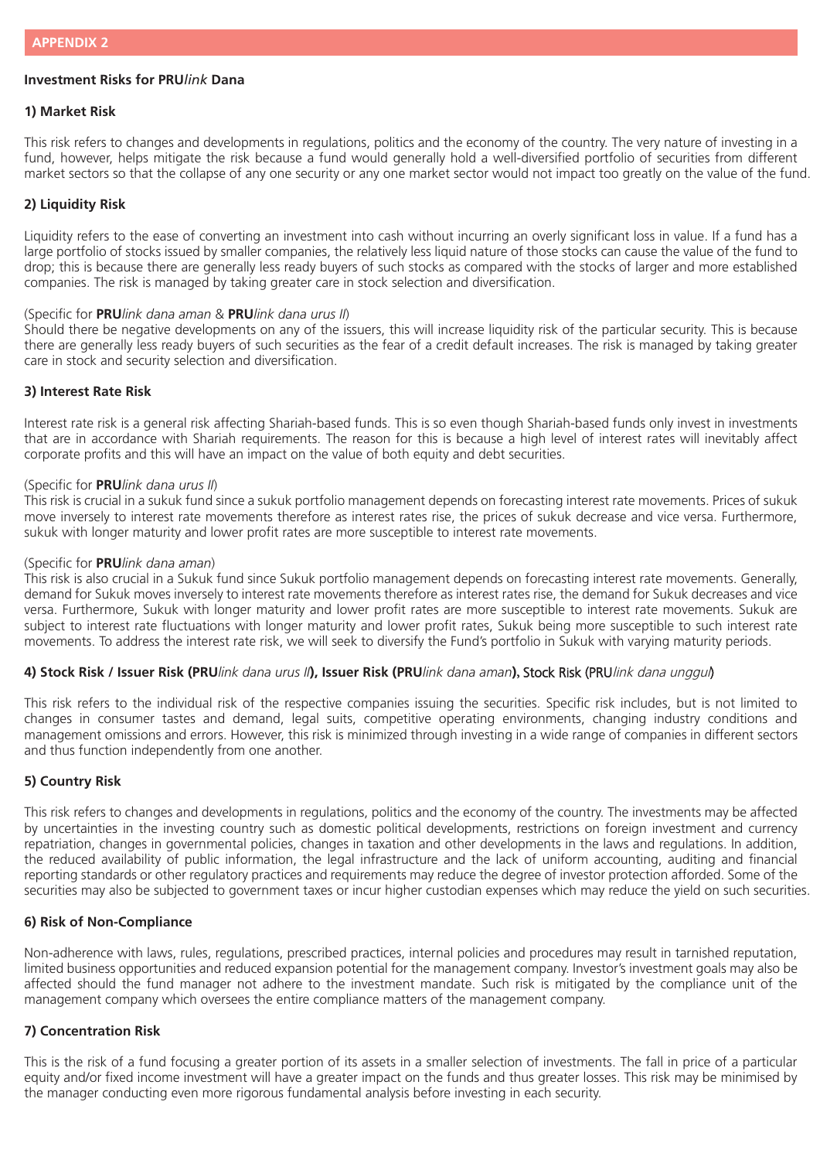# **Investment Risks for PRU***link* **Dana**

#### **1) Market Risk**

This risk refers to changes and developments in regulations, politics and the economy of the country. The very nature of investing in a fund, however, helps mitigate the risk because a fund would generally hold a well-diversified portfolio of securities from different market sectors so that the collapse of any one security or any one market sector would not impact too greatly on the value of the fund.

#### **2) Liquidity Risk**

Liquidity refers to the ease of converting an investment into cash without incurring an overly significant loss in value. If a fund has a large portfolio of stocks issued by smaller companies, the relatively less liquid nature of those stocks can cause the value of the fund to drop; this is because there are generally less ready buyers of such stocks as compared with the stocks of larger and more established companies. The risk is managed by taking greater care in stock selection and diversification.

#### (Specific for **PRU***link dana aman* & **PRU***link dana urus II*)

Should there be negative developments on any of the issuers, this will increase liquidity risk of the particular security. This is because there are generally less ready buyers of such securities as the fear of a credit default increases. The risk is managed by taking greater care in stock and security selection and diversification.

## **3) Interest Rate Risk**

Interest rate risk is a general risk affecting Shariah-based funds. This is so even though Shariah-based funds only invest in investments that are in accordance with Shariah requirements. The reason for this is because a high level of interest rates will inevitably affect corporate profits and this will have an impact on the value of both equity and debt securities.

## (Specific for **PRU***link dana urus II*)

This risk is crucial in a sukuk fund since a sukuk portfolio management depends on forecasting interest rate movements. Prices of sukuk move inversely to interest rate movements therefore as interest rates rise, the prices of sukuk decrease and vice versa. Furthermore, sukuk with longer maturity and lower profit rates are more susceptible to interest rate movements.

#### (Specific for **PRU***link dana aman*)

This risk is also crucial in a Sukuk fund since Sukuk portfolio management depends on forecasting interest rate movements. Generally, demand for Sukuk moves inversely to interest rate movements therefore as interest rates rise, the demand for Sukuk decreases and vice versa. Furthermore, Sukuk with longer maturity and lower profit rates are more susceptible to interest rate movements. Sukuk are subject to interest rate fluctuations with longer maturity and lower profit rates, Sukuk being more susceptible to such interest rate movements. To address the interest rate risk, we will seek to diversify the Fund's portfolio in Sukuk with varying maturity periods.

### **4) Stock Risk / Issuer Risk (PRU***link dana urus II***), Issuer Risk (PRU***link dana aman***),** Stock Risk (PRUlink dana unggul)

This risk refers to the individual risk of the respective companies issuing the securities. Specific risk includes, but is not limited to changes in consumer tastes and demand, legal suits, competitive operating environments, changing industry conditions and management omissions and errors. However, this risk is minimized through investing in a wide range of companies in different sectors and thus function independently from one another.

## **5) Country Risk**

This risk refers to changes and developments in regulations, politics and the economy of the country. The investments may be affected by uncertainties in the investing country such as domestic political developments, restrictions on foreign investment and currency repatriation, changes in governmental policies, changes in taxation and other developments in the laws and regulations. In addition, the reduced availability of public information, the legal infrastructure and the lack of uniform accounting, auditing and financial reporting standards or other regulatory practices and requirements may reduce the degree of investor protection afforded. Some of the securities may also be subjected to government taxes or incur higher custodian expenses which may reduce the yield on such securities.

# **6) Risk of Non-Compliance**

Non-adherence with laws, rules, regulations, prescribed practices, internal policies and procedures may result in tarnished reputation, limited business opportunities and reduced expansion potential for the management company. Investor's investment goals may also be affected should the fund manager not adhere to the investment mandate. Such risk is mitigated by the compliance unit of the management company which oversees the entire compliance matters of the management company.

## **7) Concentration Risk**

This is the risk of a fund focusing a greater portion of its assets in a smaller selection of investments. The fall in price of a particular equity and/or fixed income investment will have a greater impact on the funds and thus greater losses. This risk may be minimised by the manager conducting even more rigorous fundamental analysis before investing in each security.